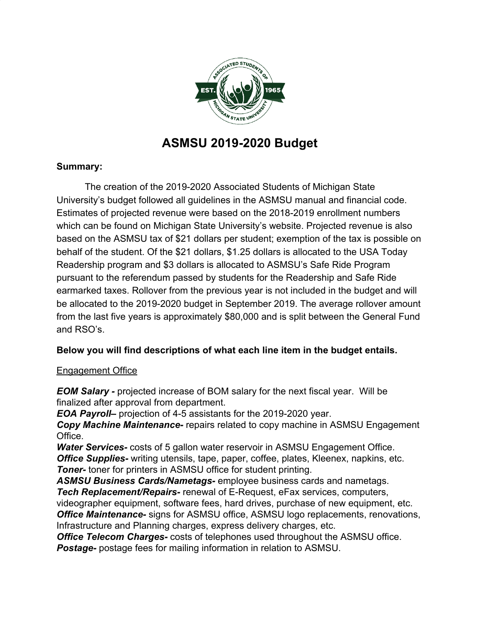

# **ASMSU 2019-2020 Budget**

# **Summary:**

The creation of the 2019-2020 Associated Students of Michigan State University's budget followed all guidelines in the ASMSU manual and financial code. Estimates of projected revenue were based on the 2018-2019 enrollment numbers which can be found on Michigan State University's website. Projected revenue is also based on the ASMSU tax of \$21 dollars per student; exemption of the tax is possible on behalf of the student. Of the \$21 dollars, \$1.25 dollars is allocated to the USA Today Readership program and \$3 dollars is allocated to ASMSU's Safe Ride Program pursuant to the referendum passed by students for the Readership and Safe Ride earmarked taxes. Rollover from the previous year is not included in the budget and will be allocated to the 2019-2020 budget in September 2019. The average rollover amount from the last five years is approximately \$80,000 and is split between the General Fund and RSO's.

# **Below you will find descriptions of what each line item in the budget entails.**

## Engagement Office

*EOM Salary -* projected increase of BOM salary for the next fiscal year. Will be finalized after approval from department.

*EOA Payroll–* projection of 4-5 assistants for the 2019-2020 year.

*Copy Machine Maintenance-* repairs related to copy machine in ASMSU Engagement Office.

*Water Services-* costs of 5 gallon water reservoir in ASMSU Engagement Office. *Office Supplies-* writing utensils, tape, paper, coffee, plates, Kleenex, napkins, etc. *Toner-* toner for printers in ASMSU office for student printing.

*ASMSU Business Cards/Nametags-* employee business cards and nametags. *Tech Replacement/Repairs-* renewal of E-Request, eFax services, computers,

videographer equipment, software fees, hard drives, purchase of new equipment, etc. *Office Maintenance-* signs for ASMSU office, ASMSU logo replacements, renovations, Infrastructure and Planning charges, express delivery charges, etc.

*Office Telecom Charges-* costs of telephones used throughout the ASMSU office. *Postage-* postage fees for mailing information in relation to ASMSU.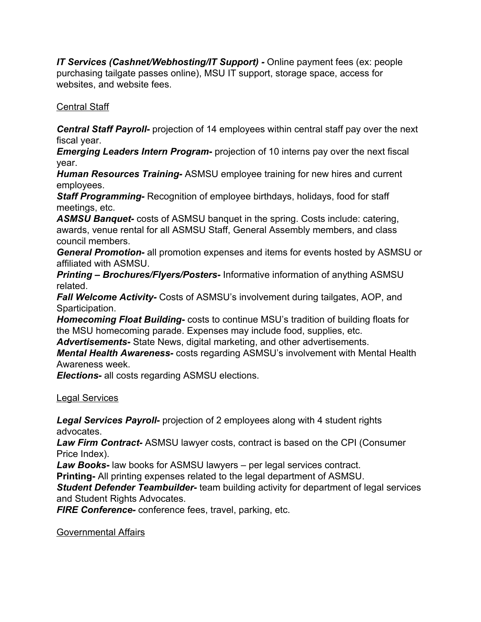*IT Services (Cashnet/Webhosting/IT Support) -* Online payment fees (ex: people purchasing tailgate passes online), MSU IT support, storage space, access for websites, and website fees.

## Central Staff

*Central Staff Payroll-* projection of 14 employees within central staff pay over the next fiscal year.

*Emerging Leaders Intern Program***-** projection of 10 interns pay over the next fiscal year.

*Human Resources Training-* ASMSU employee training for new hires and current employees.

*Staff Programming-* Recognition of employee birthdays, holidays, food for staff meetings, etc.

*ASMSU Banquet-* costs of ASMSU banquet in the spring. Costs include: catering, awards, venue rental for all ASMSU Staff, General Assembly members, and class council members.

*General Promotion-* all promotion expenses and items for events hosted by ASMSU or affiliated with ASMSU.

*Printing – Brochures/Flyers/Posters-* Informative information of anything ASMSU related.

*Fall Welcome Activity-* Costs of ASMSU's involvement during tailgates, AOP, and Sparticipation.

*Homecoming Float Building***-** costs to continue MSU's tradition of building floats for the MSU homecoming parade. Expenses may include food, supplies, etc.

*Advertisements-* State News, digital marketing, and other advertisements.

*Mental Health Awareness-* costs regarding ASMSU's involvement with Mental Health Awareness week.

*Elections-* all costs regarding ASMSU elections.

Legal Services

*Legal Services Payroll-* projection of 2 employees along with 4 student rights advocates.

*Law Firm Contract-* ASMSU lawyer costs, contract is based on the CPI (Consumer Price Index).

*Law Books-* law books for ASMSU lawyers – per legal services contract.

**Printing-** All printing expenses related to the legal department of ASMSU.

*Student Defender Teambuilder-* team building activity for department of legal services and Student Rights Advocates.

*FIRE Conference-* conference fees, travel, parking, etc.

Governmental Affairs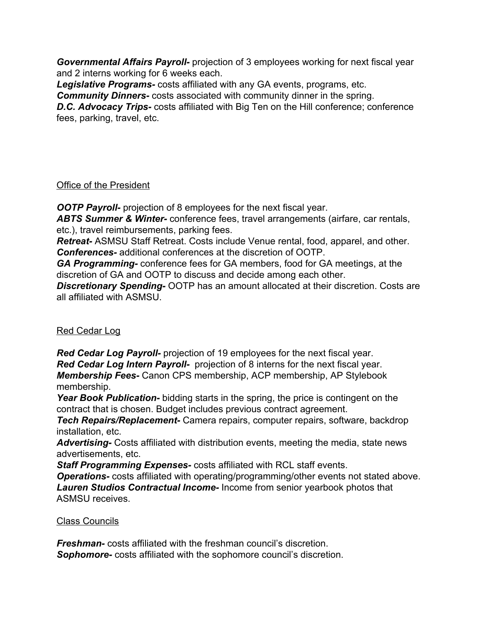*Governmental Affairs Payroll-* projection of 3 employees working for next fiscal year and 2 interns working for 6 weeks each.

*Legislative Programs-* costs affiliated with any GA events, programs, etc.

*Community Dinners-* costs associated with community dinner in the spring.

*D.C. Advocacy Trips-* costs affiliated with Big Ten on the Hill conference; conference fees, parking, travel, etc.

#### Office of the President

**OOTP Payroll-** projection of 8 employees for the next fiscal year.

*ABTS Summer & Winter-* conference fees, travel arrangements (airfare, car rentals, etc.), travel reimbursements, parking fees.

*Retreat-* ASMSU Staff Retreat. Costs include Venue rental, food, apparel, and other. *Conferences-* additional conferences at the discretion of OOTP.

*GA Programming-* conference fees for GA members, food for GA meetings, at the discretion of GA and OOTP to discuss and decide among each other.

*Discretionary Spending-* OOTP has an amount allocated at their discretion. Costs are all affiliated with ASMSU.

## Red Cedar Log

*Red Cedar Log Payroll-* projection of 19 employees for the next fiscal year. *Red Cedar Log Intern Payroll-* projection of 8 interns for the next fiscal year. *Membership Fees-* Canon CPS membership, ACP membership, AP Stylebook membership.

*Year Book Publication-* bidding starts in the spring, the price is contingent on the contract that is chosen. Budget includes previous contract agreement.

*Tech Repairs/Replacement-* Camera repairs, computer repairs, software, backdrop installation, etc.

*Advertising-* Costs affiliated with distribution events, meeting the media, state news advertisements, etc.

*Staff Programming Expenses-* costs affiliated with RCL staff events.

*Operations-* costs affiliated with operating/programming/other events not stated above. *Lauren Studios Contractual Income-* Income from senior yearbook photos that ASMSU receives.

## Class Councils

*Freshman-* costs affiliated with the freshman council's discretion. *Sophomore-* costs affiliated with the sophomore council's discretion.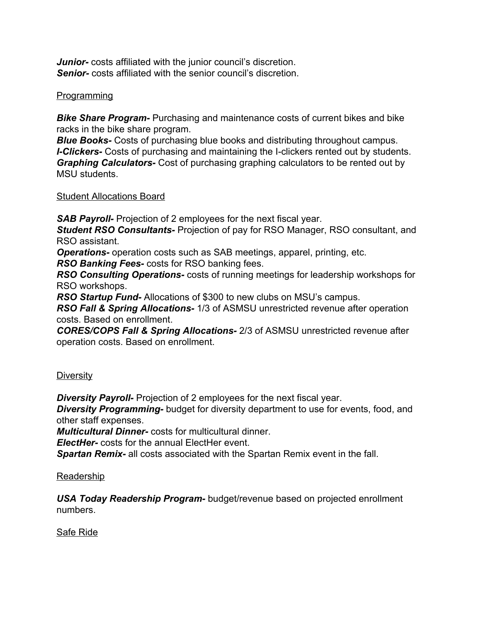*Junior-* costs affiliated with the junior council's discretion. *Senior-* costs affiliated with the senior council's discretion.

## Programming

*Bike Share Program-* Purchasing and maintenance costs of current bikes and bike racks in the bike share program.

*Blue Books-* Costs of purchasing blue books and distributing throughout campus. *I-Clickers-* Costs of purchasing and maintaining the I-clickers rented out by students. *Graphing Calculators-* Cost of purchasing graphing calculators to be rented out by MSU students.

#### Student Allocations Board

**SAB Payroll-** Projection of 2 employees for the next fiscal year.

*Student RSO Consultants-* Projection of pay for RSO Manager, RSO consultant, and RSO assistant.

*Operations-* operation costs such as SAB meetings, apparel, printing, etc.

*RSO Banking Fees-* costs for RSO banking fees.

*RSO Consulting Operations-* costs of running meetings for leadership workshops for RSO workshops.

*RSO Startup Fund-* Allocations of \$300 to new clubs on MSU's campus.

*RSO Fall & Spring Allocations-* 1/3 of ASMSU unrestricted revenue after operation costs. Based on enrollment.

*CORES/COPS Fall & Spring Allocations-* 2/3 of ASMSU unrestricted revenue after operation costs. Based on enrollment.

#### **Diversity**

*Diversity Payroll-* Projection of 2 employees for the next fiscal year.

*Diversity Programming-* budget for diversity department to use for events, food, and other staff expenses.

*Multicultural Dinner-* costs for multicultural dinner.

*ElectHer-* costs for the annual ElectHer event.

*Spartan Remix-* all costs associated with the Spartan Remix event in the fall.

#### Readership

*USA Today Readership Program-* budget/revenue based on projected enrollment numbers.

Safe Ride